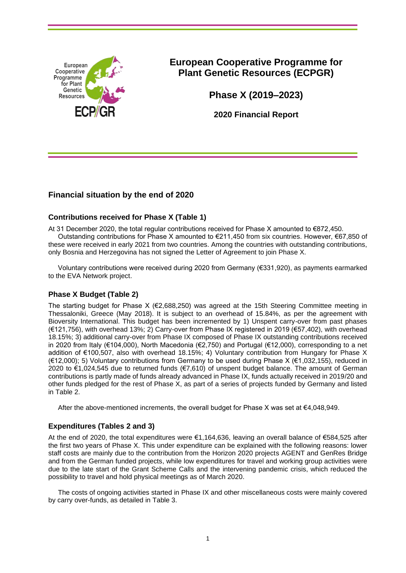

# **European Cooperative Programme for Plant Genetic Resources (ECPGR)**

**Phase X (2019–2023)**

**2020 Financial Report**

# **Financial situation by the end of 2020**

## **Contributions received for Phase X (Table 1)**

At 31 December 2020, the total regular contributions received for Phase X amounted to €872,450.

Outstanding contributions for Phase X amounted to €211,450 from six countries. However, €67,850 of these were received in early 2021 from two countries. Among the countries with outstanding contributions, only Bosnia and Herzegovina has not signed the Letter of Agreement to join Phase X.

Voluntary contributions were received during 2020 from Germany (€331,920), as payments earmarked to the EVA Network project.

## **Phase X Budget (Table 2)**

The starting budget for Phase  $X$  ( $\epsilon$ 2,688,250) was agreed at the 15th Steering Committee meeting in Thessaloniki, Greece (May 2018). It is subject to an overhead of 15.84%, as per the agreement with Bioversity International. This budget has been incremented by 1) Unspent carry-over from past phases (€121,756), with overhead 13%; 2) Carry-over from Phase IX registered in 2019 (€57,402), with overhead 18.15%; 3) additional carry-over from Phase IX composed of Phase IX outstanding contributions received in 2020 from Italy (€104,000), North Macedonia (€2,750) and Portugal (€12,000), corresponding to a net addition of €100,507, also with overhead 18.15%; 4) Voluntary contribution from Hungary for Phase X (€12,000); 5) Voluntary contributions from Germany to be used during Phase X (€1,032,155), reduced in 2020 to €1,024,545 due to returned funds (€7,610) of unspent budget balance. The amount of German contributions is partly made of funds already advanced in Phase IX, funds actually received in 2019/20 and other funds pledged for the rest of Phase X, as part of a series of projects funded by Germany and listed in Table 2.

After the above-mentioned increments, the overall budget for Phase X was set at €4,048,949.

## **Expenditures (Tables 2 and 3)**

At the end of 2020, the total expenditures were €1,164,636, leaving an overall balance of €584,525 after the first two years of Phase X. This under expenditure can be explained with the following reasons: lower staff costs are mainly due to the contribution from the Horizon 2020 projects AGENT and GenRes Bridge and from the German funded projects, while low expenditures for travel and working group activities were due to the late start of the Grant Scheme Calls and the intervening pandemic crisis, which reduced the possibility to travel and hold physical meetings as of March 2020.

The costs of ongoing activities started in Phase IX and other miscellaneous costs were mainly covered by carry over-funds, as detailed in Table 3.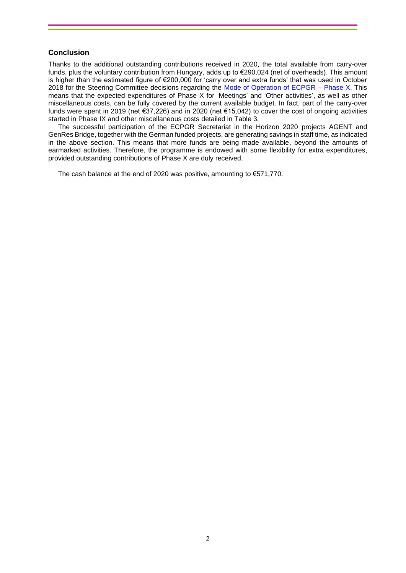#### **Conclusion**

Thanks to the additional outstanding contributions received in 2020, the total available from carry-over funds, plus the voluntary contribution from Hungary, adds up to €290,024 (net of overheads). This amount is higher than the estimated figure of €200,000 for 'carry over and extra funds' that was used in October 2018 for the Steering Committee decisions regarding the [Mode of Operation of ECPGR –](https://www.ecpgr.cgiar.org/fileadmin/bioversity/publications/pdfs/Mode_of_Operation_of_ECPGR_Phase_X.pdf) Phase X. This means that the expected expenditures of Phase X for 'Meetings' and 'Other activities', as well as other miscellaneous costs, can be fully covered by the current available budget. In fact, part of the carry-over funds were spent in 2019 (net €37,226) and in 2020 (net €15,042) to cover the cost of ongoing activities started in Phase IX and other miscellaneous costs detailed in Table 3.

The successful participation of the ECPGR Secretariat in the Horizon 2020 projects AGENT and GenRes Bridge, together with the German funded projects, are generating savings in staff time, as indicated in the above section. This means that more funds are being made available, beyond the amounts of earmarked activities. Therefore, the programme is endowed with some flexibility for extra expenditures, provided outstanding contributions of Phase X are duly received.

The cash balance at the end of 2020 was positive, amounting to €571,770.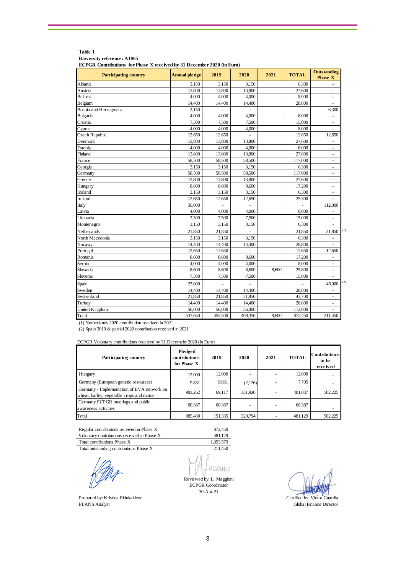| <b>Participating country</b> | <b>Annual pledge</b> | 2019    | 2020    | 2021  | <b>TOTAL</b> | <b>Outstanding</b><br><b>Phase X</b> |
|------------------------------|----------------------|---------|---------|-------|--------------|--------------------------------------|
| Albania                      | 3,150                | 3,150   | 3,150   |       | 6,300        |                                      |
| Austria                      | 13,800               | 13,800  | 13,800  |       | 27,600       |                                      |
| Belarus                      | 4,000                | 4,000   | 4,000   |       | 8,000        | ä,                                   |
| Belgium                      | 14.400               | 14,400  | 14,400  |       | 28,800       | ä,                                   |
| Bosnia and Herzegovina       | 3,150                | ä,      | ä,      |       | ä,           | 6,300                                |
| Bulgaria                     | 4,000                | 4,000   | 4,000   |       | 8,000        | ä,                                   |
| Croatia                      | 7,500                | 7,500   | 7,500   |       | 15,000       | $\frac{1}{2}$                        |
| Cyprus                       | 4,000                | 4,000   | 4,000   |       | 8,000        |                                      |
| Czech Republic               | 12,650               | 12,650  |         |       | 12,650       | 12,650                               |
| Denmark                      | 13,800               | 13,800  | 13,800  |       | 27,600       |                                      |
| Estonia                      | 4,000                | 4,000   | 4,000   |       | 8,000        | $\frac{1}{2}$                        |
| Finland                      | 13,800               | 13,800  | 13,800  |       | 27,600       | ÷,                                   |
| France                       | 58,500               | 58,500  | 58,500  |       | 117,000      | $\blacksquare$                       |
| Georgia                      | 3,150                | 3,150   | 3,150   |       | 6,300        | $\blacksquare$                       |
| Germany                      | 58,500               | 58,500  | 58,500  |       | 117,000      | $\overline{\phantom{a}}$             |
| Greece                       | 13,800               | 13,800  | 13,800  |       | 27,600       | $\bar{a}$                            |
| Hungary                      | 8,600                | 8,600   | 8,600   |       | 17,200       |                                      |
| Iceland                      | 3,150                | 3,150   | 3,150   |       | 6,300        | $\blacksquare$                       |
| Ireland                      | 12,650               | 12,650  | 12,650  |       | 25,300       |                                      |
| Italy                        | 56,000               |         |         |       |              | 112,000                              |
| Latvia                       | 4,000                | 4,000   | 4,000   |       | 8,000        |                                      |
| Lithuania                    | 7,500                | 7,500   | 7,500   |       | 15,000       | $\blacksquare$                       |
| Montenegro                   | 3,150                | 3,150   | 3,150   |       | 6,300        | ä,                                   |
| Netherlands                  | 21,850               | 21,850  |         |       | 21,850       | (1)<br>21,850                        |
| North Macedonia              | 3,150                | 3,150   | 3,150   |       | 6,300        | ä,                                   |
| Norway                       | 14,400               | 14,400  | 14,400  |       | 28,800       | $\blacksquare$                       |
| Portugal                     | 12,650               | 12,650  |         |       | 12,650       | 12,650                               |
| Romania                      | 8,600                | 8,600   | 8,600   |       | 17,200       | ä,                                   |
| Serbia                       | 4,000                | 4,000   | 4,000   |       | 8,000        |                                      |
| Slovakia                     | 8,600                | 8,600   | 8,600   | 8,600 | 25,800       | $\blacksquare$                       |
| Slovenia                     | 7,500                | 7,500   | 7,500   |       | 15,000       |                                      |
| Spain                        | 23,000               |         |         |       |              | (2)<br>46,000                        |
| Sweden                       | 14,400               | 14,400  | 14,400  |       | 28,800       | $\sim$                               |
| Switzerland                  | 21,850               | 21,850  | 21,850  |       | 43,700       | ÷,                                   |
| Turkey                       | 14,400               | 14,400  | 14,400  |       | 28,800       |                                      |
| <b>United Kingdom</b>        | 56,000               | 56,000  | 56,000  |       | 112,000      |                                      |
| Total                        | 537,650              | 455,500 | 408,350 | 8,600 | 872,450      | 211,450                              |

#### **Table 1 Bioversity reference: A1065**

**ECPGR Contributions for Phase X received by 31 December 2020 (in Euro)** 

(1) Netherlands 2020 contribution received in 2021

(2) Spain 2019 & partial 2020 contribution received in 2021

ECPGR Voluntary contributions received by 31 Decemebr 2020 (in Euro)

| <b>Participating country</b>                                                           | Pledged<br>contributions<br>for Phase X | 2019    | 2020    | 2021 | <b>TOTAL</b> | <b>Contributions</b><br>to be<br>received |
|----------------------------------------------------------------------------------------|-----------------------------------------|---------|---------|------|--------------|-------------------------------------------|
| Hungary                                                                                | 12,000                                  | 12,000  |         |      | 12,000       |                                           |
| Germany (European genetic resources)                                                   | 9,831                                   | 9,831   | (2,126) |      | 7.705        |                                           |
| Germany - Implementation of EVA network on<br>wheat, barley, vegetable crops and maize | 903.262                                 | 69.117  | 331,920 |      | 401,037      | 502.225                                   |
| Germany ECPGR meetings and public<br>awareness activities                              | 60.387                                  | 60,387  |         |      | 60,387       |                                           |
| Total                                                                                  | 985,480                                 | 151,335 | 329,794 |      | 481,129      | 502,225                                   |

Regular contributions received in Phase X 872,450<br>Voluntary contributions received in Phase X 481,129 Voluntary contributions received in Phase X 481,129<br>Total contributions Phase X 1,353,579 Total contributions Phase X 1,353,579<br>Total outstanding contributions Phase X 211,450

Total outstanding contributions Phase X

Prepared by: Kristina Eidukaitiene Certified by: Kristina Eidukaitiene Certified by: Victor Guardia<br>PLANS Analyst Global Finance Director

OHULC Reviewed by: L. Maggioni

ECPGR Coordinator 30-Apr-21

Global Finance Director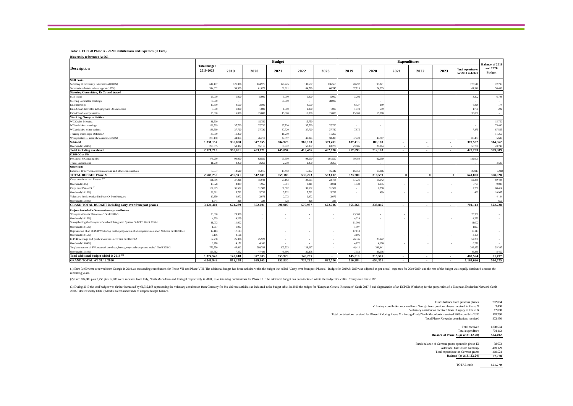#### **Table 2. ECPGR Phase X - 2020 Contributions and Expenses (in Euro)**

**Bioversity reference: A1065**

|                                                                                                    | <b>Total budget</b><br>2019-2023 | <b>Budget</b> |         |         |         | <b>Expenditures</b>      |                          |         |          | <b>Balance of 2019</b>   |                          |                                                |                           |
|----------------------------------------------------------------------------------------------------|----------------------------------|---------------|---------|---------|---------|--------------------------|--------------------------|---------|----------|--------------------------|--------------------------|------------------------------------------------|---------------------------|
| <b>Description</b>                                                                                 |                                  | 2019          | 2020    | 2021    | 2022    | 2023                     | 2019                     | 2020    | 2021     | 2022                     | 2023                     | <b>Total expenditures</b><br>for 2019 and 2020 | and 2020<br><b>Budget</b> |
| <b>Staff costs</b>                                                                                 |                                  |               |         |         |         |                          |                          |         |          |                          |                          |                                                |                           |
| Secretary at Bioversity International (100%)                                                       | 644,187                          | 121,336       | 124,976 | 128,725 | 132,587 | 136,563                  | 78,297                   | 95,221  |          |                          |                          | 173,518                                        | 72,795                    |
| Secretariat administrative support (100%)                                                          | 314,832                          | 59,300        | 61,079  | 62,911  | 64,799  | 66,743                   | 37,713                   | 24,233  |          |                          |                          | 61,946                                         | 58,433                    |
| Steering Committee, ExCo and travel                                                                |                                  |               |         |         |         |                          |                          |         |          |                          |                          |                                                |                           |
| Staff travel                                                                                       | 25,000                           | 5,000         | 5,000   | 5,000   | 5,000   | 5,000                    | 3,202                    | - 3     |          |                          |                          | 3,202                                          | 6,798                     |
| Steering Committee meetings                                                                        | 76,000                           |               |         | 38,000  |         | 38,000                   | $\overline{\phantom{a}}$ | - 3     |          |                          |                          |                                                | ×                         |
| ExCo meetings                                                                                      | 10,500                           | 3,500         | 3,500   |         | 3,500   |                          | 6,527                    | 299     |          |                          |                          | 6,826                                          | 174                       |
| ExCo Chair's travel for lobbying with EU and others                                                | 5,000                            | 1,000         | 1,000   | 1.000   | 1,000   | 1,000                    | 1.078                    | 699     |          |                          |                          | 1.778                                          | 222                       |
| ExCo Chair's compensation                                                                          | 75,000                           | 15,000        | 15,000  | 15,000  | 15,000  | 15,000                   | 15,000                   | 15,000  |          |                          |                          | 30,000                                         | a.                        |
| <b>Working Group activities</b>                                                                    |                                  |               |         |         |         |                          |                          |         |          |                          |                          |                                                |                           |
| <b>WGChair's Meeting</b>                                                                           | 31,500                           | - 2           | 15,750  |         | 15,750  | $\sim$                   |                          | $\sim$  |          |                          |                          |                                                | 15,750                    |
| WG activities - meetings                                                                           | 188,599                          | 37,720        | 37,720  | 37,720  | 37,720  | 37,720                   | $\sim$                   |         |          |                          |                          |                                                | 75,440                    |
| WGactivities -other actions                                                                        | 188,599                          | 37,720        | 37,720  | 37,720  | 37,720  | 37,720                   | 7,875                    |         |          |                          |                          | 7,875                                          | 67,565                    |
| Training workshops EURISCO                                                                         | 33,750                           | 11,250        |         | 11,250  |         | 11,250                   | $\overline{\phantom{a}}$ |         |          |                          |                          |                                                | 11,250                    |
| WG operations - scientific assistance (50%)                                                        | 238,190                          | 44,864        | 46.210  | 47.597  | 49.024  | 50,495                   | 37,720                   | 47.717  |          |                          |                          | 85.437                                         | 5,637                     |
| <b>Subtotal</b>                                                                                    | 1,831,157                        | 336,690       | 347,955 | 384,923 | 362,100 | 399,491                  | 187,413                  | 183,169 | $\sim$   | $\overline{\phantom{a}}$ | $\sim$                   | 370,582                                        | 314,062                   |
| Overhead (15.84%)                                                                                  | 290,055                          | 53,332        | 55,116  | 60.972  | 57,357  | 63.279                   | 29,686                   | 29.014  | $\sim$   | ٠.                       | <b>.</b>                 | 58,700                                         | 49,747                    |
| <b>Total including overhead</b>                                                                    | 2,121,213                        | 390,021       | 403,071 | 445,894 | 419,456 | 462,770                  | 217,099                  | 212,183 | $\sim$   | $\overline{\phantom{a}}$ | $\overline{\phantom{a}}$ | 429.283                                        | 363,809                   |
| <b>EURISCO</b> at IPK                                                                              |                                  |               |         |         |         |                          |                          |         |          |                          |                          |                                                |                           |
| Personnel & Consumables                                                                            | 478,250                          | 90,050        | 92,550  | 95,550  | 98,550  | 101,550                  | 90,050                   | 92,550  |          |                          |                          | 182,600                                        | $\sim$                    |
| <b>Travel Coordinator</b>                                                                          | 11,250                           | 2,250         | 2,250   | 2,250   | 2.250   | 2,250                    |                          |         |          |                          |                          |                                                | 4,500                     |
| Other costs                                                                                        |                                  |               |         |         |         |                          |                          |         |          |                          |                          |                                                | $\sim$                    |
| Facilities, IT services, communications and office consumables                                     | 77,537                           | 14,620        | 15,016  | 15.492  | 15.967  | 16,442                   | 16,051                   | 13,866  |          |                          |                          | 29,917                                         | (281)                     |
| <b>TOTAL BUDGET Phase X</b>                                                                        | 2,688,250                        | 496,941       | 512,887 | 559,186 | 536.223 | 583.012                  | 323,200                  | 318.599 | $\theta$ | $\theta$                 | $\bf{0}$                 | 641.800                                        | 368,028                   |
| Carry over from past Phases <sup>(1)</sup>                                                         | 121,756                          | 37,226        | 15,042  | 23,163  | 23,163  | 23,163                   | 37,226                   | 15,042  |          |                          |                          | 52,268                                         | 69,488                    |
| Overhead (13%)                                                                                     | 15,828                           | 4,839         | 1,955   | 3,011   | 3,011   | 3,011                    | 4,839                    | 1,955   |          |                          |                          | 6,795                                          | 9,033                     |
| Carry over Phase IX <sup>(2)</sup>                                                                 | 157,909                          | 31,582        | 31,582  | 31,582  | 31,582  | 31,582                   |                          | 2,750   |          |                          |                          | 2,750                                          | 60,414                    |
| Overhead (18.15%)                                                                                  | 28,661                           | 5,732         | 5,732   | 5,732   | 5,732   | 5,732                    |                          | 499     |          |                          |                          | 499                                            | 10,965                    |
| Voluntary funds received in Phase X from Hungary                                                   | 10,359                           | 2,072         | 2,072   | 2,072   | 2,072   | 2,072                    | $\sim$                   |         |          |                          |                          |                                                | 4,144                     |
| Overhead (15.84%)                                                                                  | 1.641                            | 328           | 328     | 328     | 328     | 328                      |                          |         |          |                          |                          |                                                | 656                       |
| <b>GRAND TOTAL BUDGET including carry over from past phases</b>                                    | 3,024,404                        | 674,239       | 552,601 | 598,900 | 575,937 | 622,726                  | 365,266                  | 338,846 | $\sim$   | $\overline{\phantom{a}}$ | $\sim$                   | 704,112                                        | 522,728                   |
| Projects funded with German voluntary contributions                                                |                                  |               |         |         |         |                          |                          |         |          |                          |                          |                                                |                           |
| "European Genetic Resources" GenR 2017-3                                                           | 23,300                           | 23,300        |         |         |         |                          | 23,300                   |         |          |                          |                          | 23,300                                         |                           |
| Overhead (18.15%)                                                                                  | 4,229                            | 4,229         |         |         |         |                          | 4,229                    |         |          |                          |                          | 4,229                                          | $\sim$                    |
| Strengthening the European Genebank Integrated System "AEGIS" GenR 2018-1                          | 11,002                           | 11,002        |         |         |         |                          | 11,002                   |         |          |                          |                          | 11,002                                         | $\sim$                    |
| Overhead (18.15%)                                                                                  | 1,997                            | 1,997         |         |         |         |                          | 1.997                    |         |          |                          |                          | 1,997                                          | ×.                        |
| Organization of an ECPGR Workshop for the preparation of a European Evaluation Network GenR 2018-3 | 17,113                           | 17,113        |         |         |         |                          | 17,113                   |         |          |                          |                          | 17,113                                         |                           |
| Overhead (18.15%)                                                                                  | 3,106                            | 3,106         |         |         |         |                          | 3,106                    | ÷.      |          |                          |                          | 3,106                                          | ×.                        |
| ECPGR meetings and public awareness activities GenR2019-2                                          | 52,258                           | 26,336        | 25,922  |         |         |                          | 26,336                   | 25,922  |          |                          |                          | 52,258                                         | ×                         |
| Overhead (15.84%)                                                                                  | 8,278                            | 4,172         | 4,106   |         |         |                          | 4,172                    | 4,106   |          |                          |                          | 8,278                                          |                           |
| "Implementation of EVA network on wheat, barley, vegetable crops and maize" GenR 2019-2            | 779,750                          | 46,412        | 299,788 | 305,533 | 128,017 |                          | 46,412                   | 246,441 |          |                          |                          | 292,853                                        | 53,347                    |
| Overhead (15.84%)                                                                                  | 123,512                          | 7,352         | 47,486  | 48,396  | 20.278  |                          | 7.352                    | 39,036  |          |                          |                          | 46,388                                         | 8,450                     |
| Total additional budget added in 2019 <sup>(3)</sup>                                               | 1,024,545                        | 145,018       | 377,303 | 353.929 | 148.295 | $\overline{\phantom{a}}$ | 145,018                  | 315,505 | ٠        | ٠                        | ۰.                       | 460.524                                        | 61,797                    |
| <b>GRAND TOTAL AT 31.12.2020</b>                                                                   | 4,048,949                        | 819,258       | 929.903 | 952,830 | 724.232 | 622.726                  | 510.284                  | 654.351 | $\sim$   | $\mathbf{r}$             | $\overline{\phantom{a}}$ | 1.164.636                                      | 584,525                   |
|                                                                                                    |                                  |               |         |         |         |                          |                          |         |          |                          |                          |                                                |                           |

(1) Euro 3,400 were received from Georgia in 2019, as outstanding contributions for Phase VIII and Phase VIII. The additional budget has been included within the budget line called 'Carry over from past Phases'. Budget for remaining years.

(2) Euro 104,000 plus 2,750 plus 12,000 were received from Italy, North Macedonia and Portugal respectively in 2020, as outstanding contributions for Phase IX. The additional budget has been included within the budget line

(3) During 2019 the total budget was further increased by €1,032,155 representing the voluntary contribution from Germany for five diferent activities as indicated in the budget table. In 2020 the budget to "European Genet 2018-3 decreased by EUR 7,610 due to returned funds of unspent budget balance.

Funds balance from previous phases 202,004<br>m previous phases received in Phase X 3,400

- Voluntary contribution received from Georgia from previous phases received in Phase X 3,400<br>Voluntary contribution received from Hungary in Phase X 12,000
	- Voluntary contribution received from Hungary in Phase X 12,000<br>
	rtneal/Halv/North Macedonia received 2019 contrib in 2020 118.750
- Total contributions received for Phase IX during Phase X Portugal/Italy/North Macedonia received 2019 contrib in 2020 118,750<br>Total Phase X regular contributions received 872,450 Total Phase X regular contributions received

Total received 1,208,604 Total expenditure  $\frac{704,112}{X \text{ (as at 31.12.20)}}$  504,492 **Balance of Phase**  $\overline{X}$  **(as at 31.12.20)** 

| Funds balance of German grants opened in phase IX | 58.673  |
|---------------------------------------------------|---------|
| Additional funds from Germany                     | 469,129 |
| Total expenditure on German grants                | 460.524 |
| <b>Balance</b> (as at 31.12.20)                   | 67.278  |

TOTAL cash **571,770**